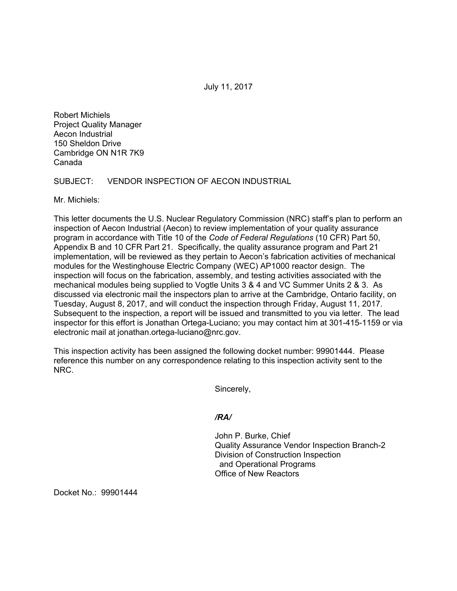July 11, 2017

Robert Michiels Project Quality Manager Aecon Industrial 150 Sheldon Drive Cambridge ON N1R 7K9 Canada

SUBJECT: VENDOR INSPECTION OF AECON INDUSTRIAL

Mr. Michiels:

This letter documents the U.S. Nuclear Regulatory Commission (NRC) staff's plan to perform an inspection of Aecon Industrial (Aecon) to review implementation of your quality assurance program in accordance with Title 10 of the *Code of Federal Regulations* (10 CFR) Part 50, Appendix B and 10 CFR Part 21. Specifically, the quality assurance program and Part 21 implementation, will be reviewed as they pertain to Aecon's fabrication activities of mechanical modules for the Westinghouse Electric Company (WEC) AP1000 reactor design. The inspection will focus on the fabrication, assembly, and testing activities associated with the mechanical modules being supplied to Vogtle Units 3 & 4 and VC Summer Units 2 & 3. As discussed via electronic mail the inspectors plan to arrive at the Cambridge, Ontario facility, on Tuesday, August 8, 2017, and will conduct the inspection through Friday, August 11, 2017. Subsequent to the inspection, a report will be issued and transmitted to you via letter. The lead inspector for this effort is Jonathan Ortega-Luciano; you may contact him at 301-415-1159 or via electronic mail at jonathan.ortega-luciano@nrc.gov.

This inspection activity has been assigned the following docket number: 99901444. Please reference this number on any correspondence relating to this inspection activity sent to the NRC.

Sincerely,

*/RA/* 

John P. Burke, Chief Quality Assurance Vendor Inspection Branch-2 Division of Construction Inspection and Operational Programs Office of New Reactors

Docket No.: 99901444